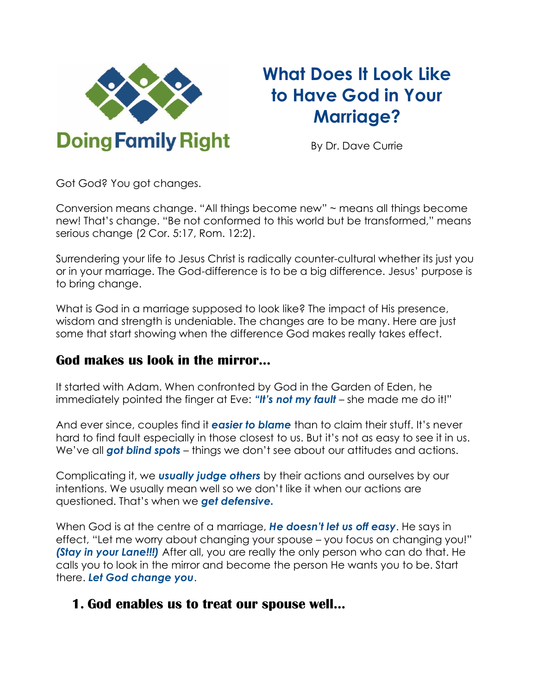

# **What Does It Look Like to Have God in Your Marriage?**

By Dr. Dave Currie

Got God? You got changes.

Conversion means change. "All things become new" ~ means all things become new! That's change. "Be not conformed to this world but be transformed," means serious change (2 Cor. 5:17, Rom. 12:2).

Surrendering your life to Jesus Christ is radically counter-cultural whether its just you or in your marriage. The God-difference is to be a big difference. Jesus' purpose is to bring change.

What is God in a marriage supposed to look like? The impact of His presence, wisdom and strength is undeniable. The changes are to be many. Here are just some that start showing when the difference God makes really takes effect.

#### **God makes us look in the mirror...**

It started with Adam. When confronted by God in the Garden of Eden, he immediately pointed the finger at Eve: *"It's not my fault* – she made me do it!"

And ever since, couples find it *easier to blame* than to claim their stuff. It's never hard to find fault especially in those closest to us. But it's not as easy to see it in us. We've all *got blind spots* – things we don't see about our attitudes and actions.

Complicating it, we *usually judge others* by their actions and ourselves by our intentions. We usually mean well so we don't like it when our actions are questioned. That's when we *get defensive.*

When God is at the centre of a marriage, *He doesn't let us off easy*. He says in effect, "Let me worry about changing your spouse – you focus on changing you!" *(Stay in your Lane!!!)* After all, you are really the only person who can do that. He calls you to look in the mirror and become the person He wants you to be. Start there. *Let God change you*.

### **1. God enables us to treat our spouse well...**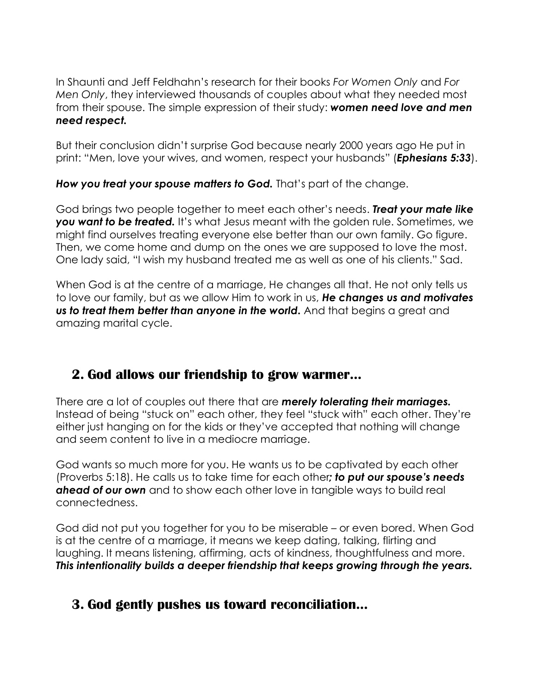In Shaunti and Jeff Feldhahn's research for their books *For Women Only* and *For Men Only*, they interviewed thousands of couples about what they needed most from their spouse. The simple expression of their study: *women need love and men need respect.*

But their conclusion didn't surprise God because nearly 2000 years ago He put in print: "Men, love your wives, and women, respect your husbands" (*Ephesians 5:33*).

*How you treat your spouse matters to God.* That's part of the change.

God brings two people together to meet each other's needs. *Treat your mate like*  **you want to be treated.** It's what Jesus meant with the golden rule. Sometimes, we might find ourselves treating everyone else better than our own family. Go figure. Then, we come home and dump on the ones we are supposed to love the most. One lady said, "I wish my husband treated me as well as one of his clients." Sad.

When God is at the centre of a marriage, He changes all that. He not only tells us to love our family, but as we allow Him to work in us, *He changes us and motivates us to treat them better than anyone in the world.* And that begins a great and amazing marital cycle.

# **2. God allows our friendship to grow warmer...**

There are a lot of couples out there that are *merely tolerating their marriages.* Instead of being "stuck on" each other, they feel "stuck with" each other. They're either just hanging on for the kids or they've accepted that nothing will change and seem content to live in a mediocre marriage.

God wants so much more for you. He wants us to be captivated by each other (Proverbs 5:18). He calls us to take time for each other*; to put our spouse's needs ahead of our own* and to show each other love in tangible ways to build real connectedness.

God did not put you together for you to be miserable – or even bored. When God is at the centre of a marriage, it means we keep dating, talking, flirting and laughing. It means listening, affirming, acts of kindness, thoughtfulness and more. *This intentionality builds a deeper friendship that keeps growing through the years.*

# **3. God gently pushes us toward reconciliation...**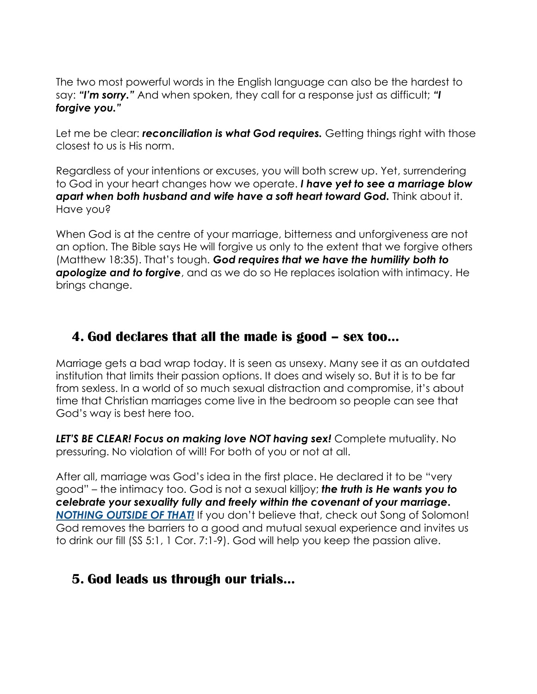The two most powerful words in the English language can also be the hardest to say: *"I'm sorry."* And when spoken, they call for a response just as difficult; *"I forgive you."*

Let me be clear: *reconciliation is what God requires*. Getting things right with those closest to us is His norm.

Regardless of your intentions or excuses, you will both screw up. Yet, surrendering to God in your heart changes how we operate. *I have yet to see a marriage blow apart when both husband and wife have a soft heart toward God.* Think about it. Have you?

When God is at the centre of your marriage, bitterness and unforgiveness are not an option. The Bible says He will forgive us only to the extent that we forgive others (Matthew 18:35). That's tough. *God requires that we have the humility both to apologize and to forgive*, and as we do so He replaces isolation with intimacy. He brings change.

## **4. God declares that all the made is good – sex too...**

Marriage gets a bad wrap today. It is seen as unsexy. Many see it as an outdated institution that limits their passion options. It does and wisely so. But it is to be far from sexless. In a world of so much sexual distraction and compromise, it's about time that Christian marriages come live in the bedroom so people can see that God's way is best here too.

*LET'S BE CLEAR! Focus on making love NOT having sex!* Complete mutuality. No pressuring. No violation of will! For both of you or not at all.

After all, marriage was God's idea in the first place. He declared it to be "very good" – the intimacy too. God is not a sexual killjoy; *the truth is He wants you to celebrate your sexuality fully and freely within the covenant of your marriage. NOTHING OUTSIDE OF THAT!* If you don't believe that, check out Song of Solomon! God removes the barriers to a good and mutual sexual experience and invites us to drink our fill (SS 5:1, 1 Cor. 7:1-9). God will help you keep the passion alive.

### **5. God leads us through our trials...**